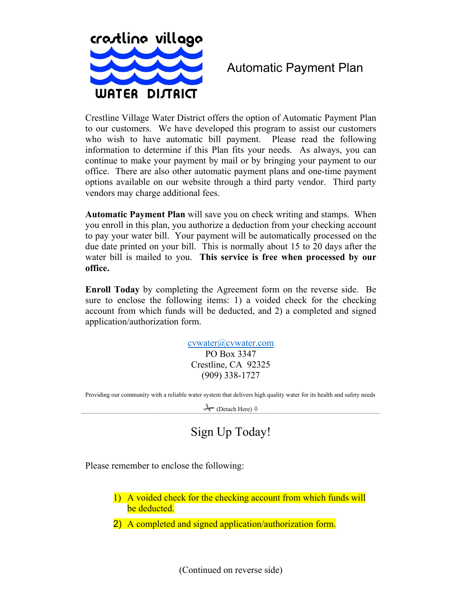

## Automatic Payment Plan

Crestline Village Water District offers the option of Automatic Payment Plan to our customers. We have developed this program to assist our customers who wish to have automatic bill payment. Please read the following information to determine if this Plan fits your needs. As always, you can continue to make your payment by mail or by bringing your payment to our office. There are also other automatic payment plans and one-time payment options available on our website through a third party vendor. Third party vendors may charge additional fees.

**Automatic Payment Plan** will save you on check writing and stamps. When you enroll in this plan, you authorize a deduction from your checking account to pay your water bill. Your payment will be automatically processed on the due date printed on your bill. This is normally about 15 to 20 days after the water bill is mailed to you. **This service is free when processed by our office.** 

**Enroll Today** by completing the Agreement form on the reverse side. Be sure to enclose the following items: 1) a voided check for the checking account from which funds will be deducted, and 2) a completed and signed application/authorization form.

> cvwater@cvwater.com PO Box 3347 Crestline, CA 92325 (909) 338-1727

Providing our community with a reliable water system that delivers high quality water for its health and safety needs

 $\rightarrow$  (Detach Here)  $\sqrt{ }$ 

## Sign Up Today!

Please remember to enclose the following:

- 1) A voided check for the checking account from which funds will be deducted.
- 2) A completed and signed application/authorization form.

(Continued on reverse side)